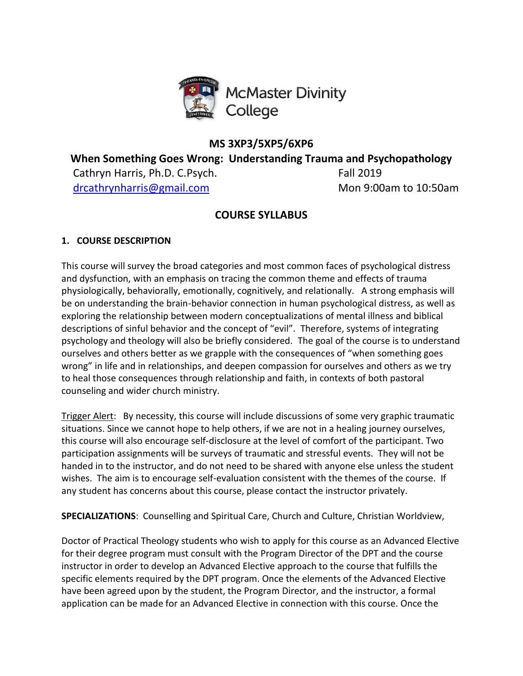

# **MS 3XP3/5XP5/6XP6**

**When Something Goes Wrong: Understanding Trauma and Psychopathology**

Cathryn Harris, Ph.D. C.Psych. Fall 2019 [drcathrynharris@gmail.com](mailto:drcathrynharris@gmailc.om) Mon 9:00am to 10:50am

# **COURSE SYLLABUS**

# **1. COURSE DESCRIPTION**

This course will survey the broad categories and most common faces of psychological distress and dysfunction, with an emphasis on tracing the common theme and effects of trauma physiologically, behaviorally, emotionally, cognitively, and relationally. A strong emphasis will be on understanding the brain-behavior connection in human psychological distress, as well as exploring the relationship between modern conceptualizations of mental illness and biblical descriptions of sinful behavior and the concept of "evil". Therefore, systems of integrating psychology and theology will also be briefly considered. The goal of the course is to understand ourselves and others better as we grapple with the consequences of "when something goes wrong" in life and in relationships, and deepen compassion for ourselves and others as we try to heal those consequences through relationship and faith, in contexts of both pastoral counseling and wider church ministry.

Trigger Alert: By necessity, this course will include discussions of some very graphic traumatic situations. Since we cannot hope to help others, if we are not in a healing journey ourselves, this course will also encourage self-disclosure at the level of comfort of the participant. Two participation assignments will be surveys of traumatic and stressful events. They will not be handed in to the instructor, and do not need to be shared with anyone else unless the student wishes. The aim is to encourage self-evaluation consistent with the themes of the course. If any student has concerns about this course, please contact the instructor privately.

**SPECIALIZATIONS**: Counselling and Spiritual Care, Church and Culture, Christian Worldview,

Doctor of Practical Theology students who wish to apply for this course as an Advanced Elective for their degree program must consult with the Program Director of the DPT and the course instructor in order to develop an Advanced Elective approach to the course that fulfills the specific elements required by the DPT program. Once the elements of the Advanced Elective have been agreed upon by the student, the Program Director, and the instructor, a formal application can be made for an Advanced Elective in connection with this course. Once the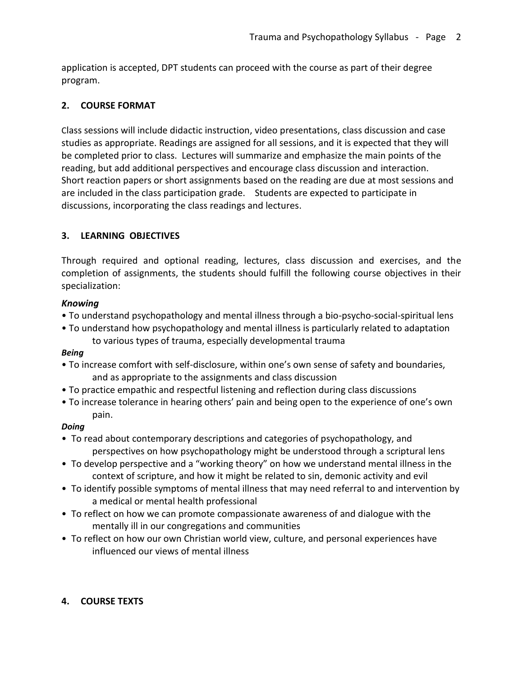application is accepted, DPT students can proceed with the course as part of their degree program.

# **2. COURSE FORMAT**

Class sessions will include didactic instruction, video presentations, class discussion and case studies as appropriate. Readings are assigned for all sessions, and it is expected that they will be completed prior to class. Lectures will summarize and emphasize the main points of the reading, but add additional perspectives and encourage class discussion and interaction. Short reaction papers or short assignments based on the reading are due at most sessions and are included in the class participation grade. Students are expected to participate in discussions, incorporating the class readings and lectures.

### **3. LEARNING OBJECTIVES**

Through required and optional reading, lectures, class discussion and exercises, and the completion of assignments, the students should fulfill the following course objectives in their specialization:

### *Knowing*

- To understand psychopathology and mental illness through a bio-psycho-social-spiritual lens
- To understand how psychopathology and mental illness is particularly related to adaptation to various types of trauma, especially developmental trauma

#### *Being*

- To increase comfort with self-disclosure, within one's own sense of safety and boundaries, and as appropriate to the assignments and class discussion
- To practice empathic and respectful listening and reflection during class discussions
- To increase tolerance in hearing others' pain and being open to the experience of one's own pain.

### *Doing*

- To read about contemporary descriptions and categories of psychopathology, and perspectives on how psychopathology might be understood through a scriptural lens
- To develop perspective and a "working theory" on how we understand mental illness in the context of scripture, and how it might be related to sin, demonic activity and evil
- To identify possible symptoms of mental illness that may need referral to and intervention by a medical or mental health professional
- To reflect on how we can promote compassionate awareness of and dialogue with the mentally ill in our congregations and communities
- To reflect on how our own Christian world view, culture, and personal experiences have influenced our views of mental illness

# **4. COURSE TEXTS**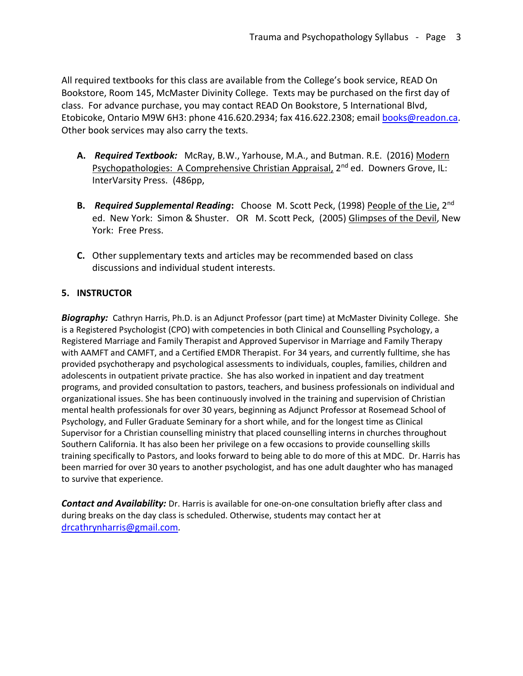All required textbooks for this class are available from the College's book service, READ On Bookstore, Room 145, McMaster Divinity College. Texts may be purchased on the first day of class. For advance purchase, you may contact READ On Bookstore, 5 International Blvd, Etobicoke, Ontario M9W 6H3: phone 416.620.2934; fax 416.622.2308; email [books@readon.ca.](mailto:books@readon.ca) Other book services may also carry the texts.

- **A.** *Required Textbook:* McRay, B.W., Yarhouse, M.A., and Butman. R.E. (2016) Modern Psychopathologies: A Comprehensive Christian Appraisal, 2<sup>nd</sup> ed. Downers Grove, IL: InterVarsity Press. (486pp,
- **B.** *Required Supplemental Reading***:** Choose M. Scott Peck, (1998) <u>People of the Lie,</u> 2<sup>nd</sup> ed. New York: Simon & Shuster. OR M. Scott Peck, (2005) Glimpses of the Devil, New York: Free Press.
- **C.** Other supplementary texts and articles may be recommended based on class discussions and individual student interests.

### **5. INSTRUCTOR**

*Biography:* Cathryn Harris, Ph.D. is an Adjunct Professor (part time) at McMaster Divinity College. She is a Registered Psychologist (CPO) with competencies in both Clinical and Counselling Psychology, a Registered Marriage and Family Therapist and Approved Supervisor in Marriage and Family Therapy with AAMFT and CAMFT, and a Certified EMDR Therapist. For 34 years, and currently fulltime, she has provided psychotherapy and psychological assessments to individuals, couples, families, children and adolescents in outpatient private practice. She has also worked in inpatient and day treatment programs, and provided consultation to pastors, teachers, and business professionals on individual and organizational issues. She has been continuously involved in the training and supervision of Christian mental health professionals for over 30 years, beginning as Adjunct Professor at Rosemead School of Psychology, and Fuller Graduate Seminary for a short while, and for the longest time as Clinical Supervisor for a Christian counselling ministry that placed counselling interns in churches throughout Southern California. It has also been her privilege on a few occasions to provide counselling skills training specifically to Pastors, and looks forward to being able to do more of this at MDC. Dr. Harris has been married for over 30 years to another psychologist, and has one adult daughter who has managed to survive that experience.

*Contact and Availability:* Dr. Harris is available for one-on-one consultation briefly after class and during breaks on the day class is scheduled. Otherwise, students may contact her at [drcathrynharris@gmail.com](mailto:drcathrynharris@gmail.com)*.*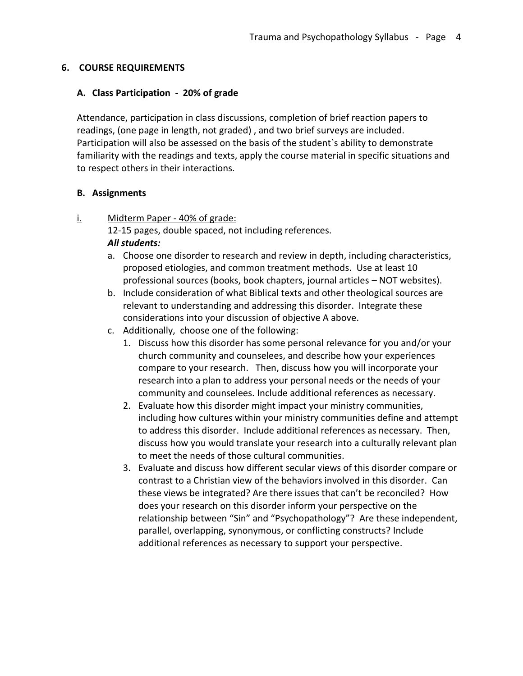### **6. COURSE REQUIREMENTS**

### **A. Class Participation - 20% of grade**

Attendance, participation in class discussions, completion of brief reaction papers to readings, (one page in length, not graded) , and two brief surveys are included. Participation will also be assessed on the basis of the student`s ability to demonstrate familiarity with the readings and texts, apply the course material in specific situations and to respect others in their interactions.

#### **B. Assignments**

### i. Midterm Paper - 40% of grade:

12-15 pages, double spaced, not including references. *All students:*

- a. Choose one disorder to research and review in depth, including characteristics, proposed etiologies, and common treatment methods. Use at least 10 professional sources (books, book chapters, journal articles – NOT websites).
- b. Include consideration of what Biblical texts and other theological sources are relevant to understanding and addressing this disorder. Integrate these considerations into your discussion of objective A above.
- c. Additionally, choose one of the following:
	- 1. Discuss how this disorder has some personal relevance for you and/or your church community and counselees, and describe how your experiences compare to your research. Then, discuss how you will incorporate your research into a plan to address your personal needs or the needs of your community and counselees. Include additional references as necessary.
	- 2. Evaluate how this disorder might impact your ministry communities, including how cultures within your ministry communities define and attempt to address this disorder. Include additional references as necessary. Then, discuss how you would translate your research into a culturally relevant plan to meet the needs of those cultural communities.
	- 3. Evaluate and discuss how different secular views of this disorder compare or contrast to a Christian view of the behaviors involved in this disorder. Can these views be integrated? Are there issues that can't be reconciled? How does your research on this disorder inform your perspective on the relationship between "Sin" and "Psychopathology"? Are these independent, parallel, overlapping, synonymous, or conflicting constructs? Include additional references as necessary to support your perspective.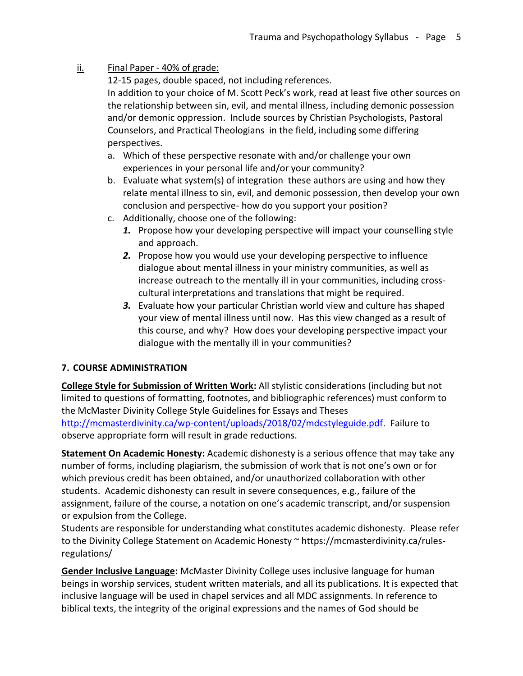# ii. Final Paper - 40% of grade:

12-15 pages, double spaced, not including references.

In addition to your choice of M. Scott Peck's work, read at least five other sources on the relationship between sin, evil, and mental illness, including demonic possession and/or demonic oppression. Include sources by Christian Psychologists, Pastoral Counselors, and Practical Theologians in the field, including some differing perspectives.

- a. Which of these perspective resonate with and/or challenge your own experiences in your personal life and/or your community?
- b. Evaluate what system(s) of integration these authors are using and how they relate mental illness to sin, evil, and demonic possession, then develop your own conclusion and perspective- how do you support your position?
- c. Additionally, choose one of the following:
	- *1.* Propose how your developing perspective will impact your counselling style and approach.
	- *2.* Propose how you would use your developing perspective to influence dialogue about mental illness in your ministry communities, as well as increase outreach to the mentally ill in your communities, including crosscultural interpretations and translations that might be required.
	- *3.* Evaluate how your particular Christian world view and culture has shaped your view of mental illness until now. Has this view changed as a result of this course, and why? How does your developing perspective impact your dialogue with the mentally ill in your communities?

# **7. COURSE ADMINISTRATION**

**College Style for Submission of Written Work:** All stylistic considerations (including but not limited to questions of formatting, footnotes, and bibliographic references) must conform to the McMaster Divinity College Style Guidelines for Essays and Theses [http://mcmasterdivinity.ca/wp-content/uploads/2018/02/mdcstyleguide.pdf.](http://mcmasterdivinity.ca/wp-content/uploads/2018/02/mdcstyleguide.pdf) Failure to observe appropriate form will result in grade reductions.

**Statement On Academic Honesty:** Academic dishonesty is a serious offence that may take any number of forms, including plagiarism, the submission of work that is not one's own or for which previous credit has been obtained, and/or unauthorized collaboration with other students. Academic dishonesty can result in severe consequences, e.g., failure of the assignment, failure of the course, a notation on one's academic transcript, and/or suspension or expulsion from the College.

Students are responsible for understanding what constitutes academic dishonesty. Please refer to the Divinity College Statement on Academic Honesty ~ https://mcmasterdivinity.ca/rulesregulations/

**Gender Inclusive Language:** McMaster Divinity College uses inclusive language for human beings in worship services, student written materials, and all its publications. It is expected that inclusive language will be used in chapel services and all MDC assignments. In reference to biblical texts, the integrity of the original expressions and the names of God should be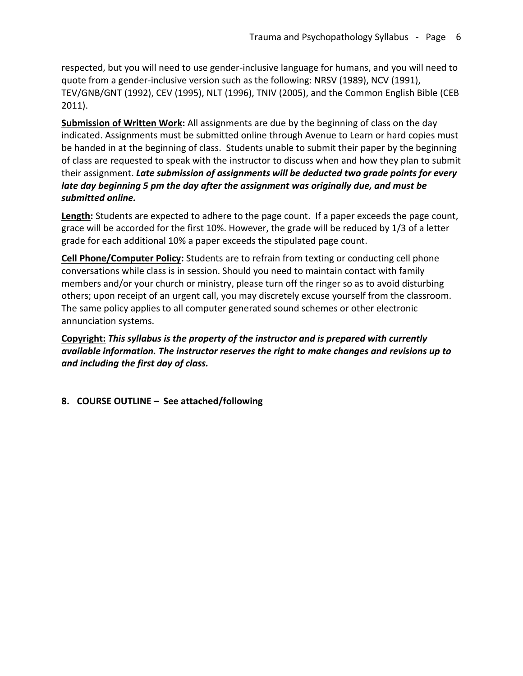respected, but you will need to use gender-inclusive language for humans, and you will need to quote from a gender-inclusive version such as the following: NRSV (1989), NCV (1991), TEV/GNB/GNT (1992), CEV (1995), NLT (1996), TNIV (2005), and the Common English Bible (CEB 2011).

**Submission of Written Work:** All assignments are due by the beginning of class on the day indicated. Assignments must be submitted online through Avenue to Learn or hard copies must be handed in at the beginning of class. Students unable to submit their paper by the beginning of class are requested to speak with the instructor to discuss when and how they plan to submit their assignment. *Late submission of assignments will be deducted two grade points for every late day beginning 5 pm the day after the assignment was originally due, and must be submitted online.* 

**Length:** Students are expected to adhere to the page count. If a paper exceeds the page count, grace will be accorded for the first 10%. However, the grade will be reduced by 1/3 of a letter grade for each additional 10% a paper exceeds the stipulated page count.

**Cell Phone/Computer Policy:** Students are to refrain from texting or conducting cell phone conversations while class is in session. Should you need to maintain contact with family members and/or your church or ministry, please turn off the ringer so as to avoid disturbing others; upon receipt of an urgent call, you may discretely excuse yourself from the classroom. The same policy applies to all computer generated sound schemes or other electronic annunciation systems.

**Copyright:** *This syllabus is the property of the instructor and is prepared with currently available information. The instructor reserves the right to make changes and revisions up to and including the first day of class.*

**8. COURSE OUTLINE – See attached/following**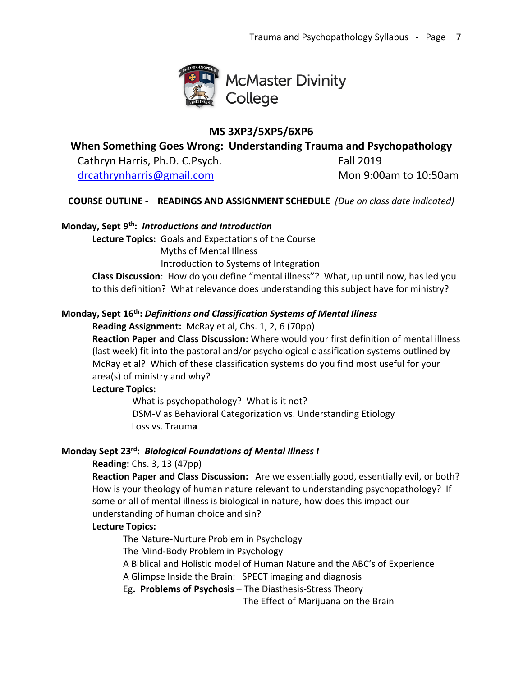

# **MS 3XP3/5XP5/6XP6**

**When Something Goes Wrong: Understanding Trauma and Psychopathology**

Cathryn Harris, Ph.D. C.Psych. Fall 2019

[drcathrynharris@gmail.com](mailto:drcathrynharris@gmailc.om) Mon 9:00am to 10:50am

# **COURSE OUTLINE - READINGS AND ASSIGNMENT SCHEDULE** *(Due on class date indicated)*

# **Monday, Sept 9th:** *Introductions and Introduction*

**Lecture Topics:** Goals and Expectations of the Course

Myths of Mental Illness

Introduction to Systems of Integration

**Class Discussion**: How do you define "mental illness"? What, up until now, has led you to this definition? What relevance does understanding this subject have for ministry?

# **Monday, Sept 16th:** *Definitions and Classification Systems of Mental Illness*

**Reading Assignment:** McRay et al, Chs. 1, 2, 6 (70pp)

**Reaction Paper and Class Discussion:** Where would your first definition of mental illness (last week) fit into the pastoral and/or psychological classification systems outlined by McRay et al? Which of these classification systems do you find most useful for your area(s) of ministry and why?

### **Lecture Topics:**

What is psychopathology? What is it not? DSM-V as Behavioral Categorization vs. Understanding Etiology Loss vs. Traum**a**

### **Monday Sept 23rd:** *Biological Foundations of Mental Illness I*

# **Reading:** Chs. 3, 13 (47pp)

**Reaction Paper and Class Discussion:** Are we essentially good, essentially evil, or both? How is your theology of human nature relevant to understanding psychopathology? If some or all of mental illness is biological in nature, how does this impact our understanding of human choice and sin?

### **Lecture Topics:**

The Nature-Nurture Problem in Psychology

The Mind-Body Problem in Psychology

A Biblical and Holistic model of Human Nature and the ABC's of Experience

A Glimpse Inside the Brain: SPECT imaging and diagnosis

Eg**. Problems of Psychosis** – The Diasthesis-Stress Theory

The Effect of Marijuana on the Brain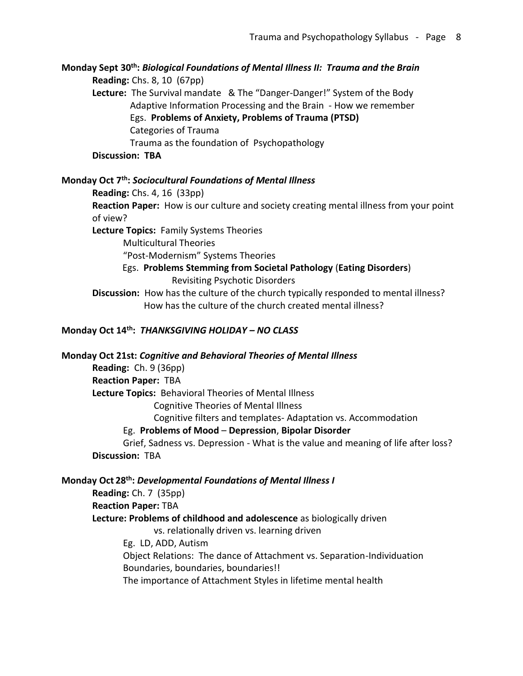**Monday Sept 30th:** *Biological Foundations of Mental Illness II: Trauma and the Brain* **Reading:** Chs. 8, 10 (67pp) **Lecture:** The Survival mandate & The "Danger-Danger!" System of the Body Adaptive Information Processing and the Brain - How we remember Egs. **Problems of Anxiety, Problems of Trauma (PTSD)** Categories of Trauma Trauma as the foundation of Psychopathology **Discussion: TBA**

#### **Monday Oct 7th:** *Sociocultural Foundations of Mental Illness*

**Reading:** Chs. 4, 16 (33pp)

**Reaction Paper:** How is our culture and society creating mental illness from your point of view?

**Lecture Topics:** Family Systems Theories

Multicultural Theories

"Post-Modernism" Systems Theories

 Egs. **Problems Stemming from Societal Pathology** (**Eating Disorders**) Revisiting Psychotic Disorders

**Discussion:** How has the culture of the church typically responded to mental illness? How has the culture of the church created mental illness?

### **Monday Oct 14th:** *THANKSGIVING HOLIDAY – NO CLASS*

#### **Monday Oct 21st:** *Cognitive and Behavioral Theories of Mental Illness*

**Reading:** Ch. 9 (36pp) **Reaction Paper:** TBA **Lecture Topics:** Behavioral Theories of Mental Illness Cognitive Theories of Mental Illness Cognitive filters and templates- Adaptation vs. Accommodation

Eg. **Problems of Mood** – **Depression**, **Bipolar Disorder**

Grief, Sadness vs. Depression - What is the value and meaning of life after loss? **Discussion:** TBA

#### **Monday Oct 28th:** *Developmental Foundations of Mental Illness I*

**Reading:** Ch. 7 (35pp)

#### **Reaction Paper:** TBA

**Lecture: Problems of childhood and adolescence** as biologically driven

vs. relationally driven vs. learning driven

Eg. LD, ADD, Autism

Object Relations: The dance of Attachment vs. Separation-Individuation Boundaries, boundaries, boundaries!!

The importance of Attachment Styles in lifetime mental health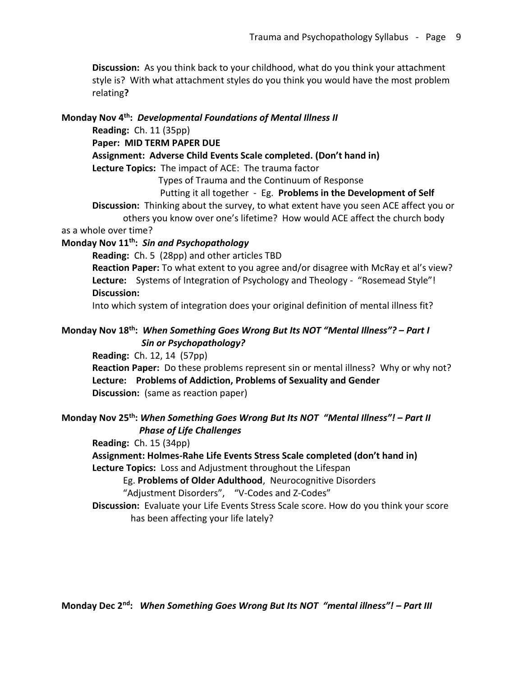**Discussion:** As you think back to your childhood, what do you think your attachment style is? With what attachment styles do you think you would have the most problem relating**?**

#### **Monday Nov 4th:** *Developmental Foundations of Mental Illness II*

**Reading:** Ch. 11 (35pp)

**Paper: MID TERM PAPER DUE**

**Assignment: Adverse Child Events Scale completed. (Don't hand in)**

**Lecture Topics:** The impact of ACE: The trauma factor

Types of Trauma and the Continuum of Response

Putting it all together - Eg. **Problems in the Development of Self**

**Discussion:** Thinking about the survey, to what extent have you seen ACE affect you or others you know over one's lifetime? How would ACE affect the church body

as a whole over time?

### **Monday Nov 11th:** *Sin and Psychopathology*

**Reading:** Ch. 5 (28pp) and other articles TBD

**Reaction Paper:** To what extent to you agree and/or disagree with McRay et al's view? **Lecture:** Systems of Integration of Psychology and Theology - "Rosemead Style"! **Discussion:**

Into which system of integration does your original definition of mental illness fit?

### **Monday Nov 18th:** *When Something Goes Wrong But Its NOT "Mental Illness"? – Part I Sin or Psychopathology?*

**Reading:** Ch. 12, 14 (57pp)

**Reaction Paper:** Do these problems represent sin or mental illness? Why or why not? **Lecture: Problems of Addiction, Problems of Sexuality and Gender Discussion:** (same as reaction paper)

### **Monday Nov 25th:** *When Something Goes Wrong But Its NOT "Mental Illness"! – Part II Phase of Life Challenges*

**Reading:** Ch. 15 (34pp)

**Assignment: Holmes-Rahe Life Events Stress Scale completed (don't hand in) Lecture Topics:** Loss and Adjustment throughout the Lifespan

Eg. **Problems of Older Adulthood**, Neurocognitive Disorders

"Adjustment Disorders", "V-Codes and Z-Codes"

**Discussion:** Evaluate your Life Events Stress Scale score. How do you think your score has been affecting your life lately?